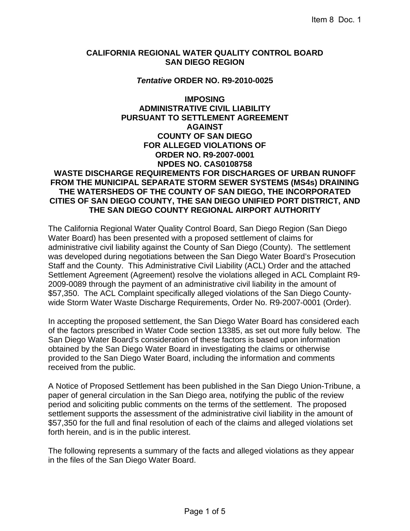#### **CALIFORNIA REGIONAL WATER QUALITY CONTROL BOARD SAN DIEGO REGION**

#### *Tentative* **ORDER NO. R9-2010-0025**

## **IMPOSING ADMINISTRATIVE CIVIL LIABILITY PURSUANT TO SETTLEMENT AGREEMENT AGAINST COUNTY OF SAN DIEGO FOR ALLEGED VIOLATIONS OF ORDER NO. R9-2007-0001 NPDES NO. CAS0108758 WASTE DISCHARGE REQUIREMENTS FOR DISCHARGES OF URBAN RUNOFF FROM THE MUNICIPAL SEPARATE STORM SEWER SYSTEMS (MS4s) DRAINING THE WATERSHEDS OF THE COUNTY OF SAN DIEGO, THE INCORPORATED CITIES OF SAN DIEGO COUNTY, THE SAN DIEGO UNIFIED PORT DISTRICT, AND THE SAN DIEGO COUNTY REGIONAL AIRPORT AUTHORITY**

The California Regional Water Quality Control Board, San Diego Region (San Diego Water Board) has been presented with a proposed settlement of claims for administrative civil liability against the County of San Diego (County). The settlement was developed during negotiations between the San Diego Water Board's Prosecution Staff and the County. This Administrative Civil Liability (ACL) Order and the attached Settlement Agreement (Agreement) resolve the violations alleged in ACL Complaint R9- 2009-0089 through the payment of an administrative civil liability in the amount of \$57,350. The ACL Complaint specifically alleged violations of the San Diego Countywide Storm Water Waste Discharge Requirements, Order No. R9-2007-0001 (Order).

In accepting the proposed settlement, the San Diego Water Board has considered each of the factors prescribed in Water Code section 13385, as set out more fully below. The San Diego Water Board's consideration of these factors is based upon information obtained by the San Diego Water Board in investigating the claims or otherwise provided to the San Diego Water Board, including the information and comments received from the public.

A Notice of Proposed Settlement has been published in the San Diego Union-Tribune, a paper of general circulation in the San Diego area, notifying the public of the review period and soliciting public comments on the terms of the settlement. The proposed settlement supports the assessment of the administrative civil liability in the amount of \$57,350 for the full and final resolution of each of the claims and alleged violations set forth herein, and is in the public interest.

The following represents a summary of the facts and alleged violations as they appear in the files of the San Diego Water Board.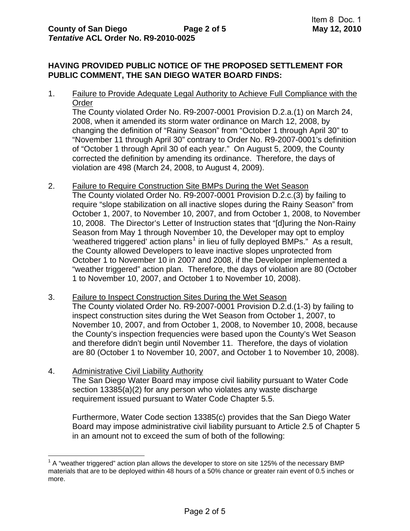# **HAVING PROVIDED PUBLIC NOTICE OF THE PROPOSED SETTLEMENT FOR PUBLIC COMMENT, THE SAN DIEGO WATER BOARD FINDS:**

1. Failure to Provide Adequate Legal Authority to Achieve Full Compliance with the Order

The County violated Order No. R9-2007-0001 Provision D.2.a.(1) on March 24, 2008, when it amended its storm water ordinance on March 12, 2008, by changing the definition of "Rainy Season" from "October 1 through April 30" to "November 11 through April 30" contrary to Order No. R9-2007-0001's definition of "October 1 through April 30 of each year." On August 5, 2009, the County corrected the definition by amending its ordinance. Therefore, the days of violation are 498 (March 24, 2008, to August 4, 2009).

- 2. Failure to Require Construction Site BMPs During the Wet Season The County violated Order No. R9-2007-0001 Provision D.2.c.(3) by failing to require "slope stabilization on all inactive slopes during the Rainy Season" from October 1, 2007, to November 10, 2007, and from October 1, 2008, to November 10, 2008. The Director's Letter of Instruction states that "[d]uring the Non-Rainy Season from May 1 through November 10, the Developer may opt to employ 'weathered triggered' action plans<sup>[1](#page-1-0)</sup> in lieu of fully deployed BMPs." As a result, the County allowed Developers to leave inactive slopes unprotected from October 1 to November 10 in 2007 and 2008, if the Developer implemented a "weather triggered" action plan. Therefore, the days of violation are 80 (October 1 to November 10, 2007, and October 1 to November 10, 2008).
- 3. Failure to Inspect Construction Sites During the Wet Season The County violated Order No. R9-2007-0001 Provision D.2.d.(1-3) by failing to inspect construction sites during the Wet Season from October 1, 2007, to November 10, 2007, and from October 1, 2008, to November 10, 2008, because the County's inspection frequencies were based upon the County's Wet Season and therefore didn't begin until November 11. Therefore, the days of violation are 80 (October 1 to November 10, 2007, and October 1 to November 10, 2008).
- 4. Administrative Civil Liability Authority The San Diego Water Board may impose civil liability pursuant to Water Code section 13385(a)(2) for any person who violates any waste discharge requirement issued pursuant to Water Code Chapter 5.5.

Furthermore, Water Code section 13385(c) provides that the San Diego Water Board may impose administrative civil liability pursuant to Article 2.5 of Chapter 5 in an amount not to exceed the sum of both of the following:

<span id="page-1-0"></span> <sup>1</sup> A "weather triggered" action plan allows the developer to store on site 125% of the necessary BMP materials that are to be deployed within 48 hours of a 50% chance or greater rain event of 0.5 inches or more.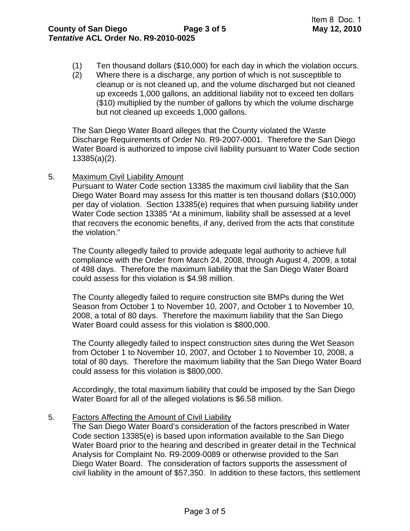- (1) Ten thousand dollars (\$10,000) for each day in which the violation occurs.
- (2) Where there is a discharge, any portion of which is not susceptible to cleanup or is not cleaned up, and the volume discharged but not cleaned up exceeds 1,000 gallons, an additional liability not to exceed ten dollars (\$10) multiplied by the number of gallons by which the volume discharge but not cleaned up exceeds 1,000 gallons.

The San Diego Water Board alleges that the County violated the Waste Discharge Requirements of Order No. R9-2007-0001. Therefore the San Diego Water Board is authorized to impose civil liability pursuant to Water Code section 13385(a)(2).

5. Maximum Civil Liability Amount

Pursuant to Water Code section 13385 the maximum civil liability that the San Diego Water Board may assess for this matter is ten thousand dollars (\$10,000) per day of violation. Section 13385(e) requires that when pursuing liability under Water Code section 13385 "At a minimum, liability shall be assessed at a level that recovers the economic benefits, if any, derived from the acts that constitute the violation."

The County allegedly failed to provide adequate legal authority to achieve full compliance with the Order from March 24, 2008, through August 4, 2009, a total of 498 days. Therefore the maximum liability that the San Diego Water Board could assess for this violation is \$4.98 million.

The County allegedly failed to require construction site BMPs during the Wet Season from October 1 to November 10, 2007, and October 1 to November 10, 2008, a total of 80 days. Therefore the maximum liability that the San Diego Water Board could assess for this violation is \$800,000.

The County allegedly failed to inspect construction sites during the Wet Season from October 1 to November 10, 2007, and October 1 to November 10, 2008, a total of 80 days. Therefore the maximum liability that the San Diego Water Board could assess for this violation is \$800,000.

Accordingly, the total maximum liability that could be imposed by the San Diego Water Board for all of the alleged violations is \$6.58 million.

5. Factors Affecting the Amount of Civil Liability

The San Diego Water Board's consideration of the factors prescribed in Water Code section 13385(e) is based upon information available to the San Diego Water Board prior to the hearing and described in greater detail in the Technical Analysis for Complaint No. R9-2009-0089 or otherwise provided to the San Diego Water Board. The consideration of factors supports the assessment of civil liability in the amount of \$57,350. In addition to these factors, this settlement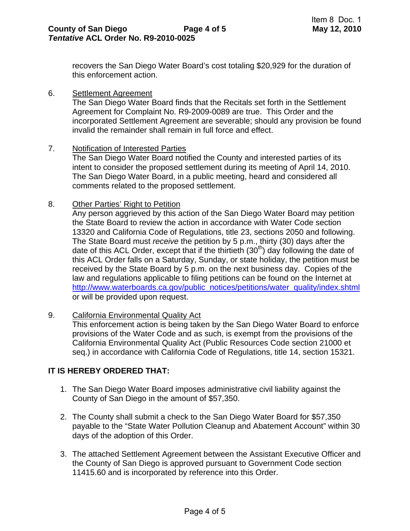recovers the San Diego Water Board's cost totaling \$20,929 for the duration of this enforcement action.

6. Settlement Agreement

The San Diego Water Board finds that the Recitals set forth in the Settlement Agreement for Complaint No. R9-2009-0089 are true. This Order and the incorporated Settlement Agreement are severable; should any provision be found invalid the remainder shall remain in full force and effect.

7. Notification of Interested Parties

The San Diego Water Board notified the County and interested parties of its intent to consider the proposed settlement during its meeting of April 14, 2010. The San Diego Water Board, in a public meeting, heard and considered all comments related to the proposed settlement.

8. Other Parties' Right to Petition

Any person aggrieved by this action of the San Diego Water Board may petition the State Board to review the action in accordance with Water Code section 13320 and California Code of Regulations, title 23, sections 2050 and following. The State Board must *receive* the petition by 5 p.m., thirty (30) days after the date of this ACL Order, except that if the thirtieth  $(30<sup>th</sup>)$  day following the date of this ACL Order falls on a Saturday, Sunday, or state holiday, the petition must be received by the State Board by 5 p.m. on the next business day. Copies of the law and regulations applicable to filing petitions can be found on the Internet at [http://www.waterboards.ca.gov/public\\_notices/petitions/water\\_quality/index.shtml](http://www.waterboards.ca.gov/public_notices/petitions/water_quality/index.shtml) or will be provided upon request.

9. California Environmental Quality Act

This enforcement action is being taken by the San Diego Water Board to enforce provisions of the Water Code and as such, is exempt from the provisions of the California Environmental Quality Act (Public Resources Code section 21000 et seq.) in accordance with California Code of Regulations, title 14, section 15321.

## **IT IS HEREBY ORDERED THAT:**

- 1. The San Diego Water Board imposes administrative civil liability against the County of San Diego in the amount of \$57,350.
- 2. The County shall submit a check to the San Diego Water Board for \$57,350 payable to the "State Water Pollution Cleanup and Abatement Account" within 30 days of the adoption of this Order.
- 3. The attached Settlement Agreement between the Assistant Executive Officer and the County of San Diego is approved pursuant to Government Code section 11415.60 and is incorporated by reference into this Order.